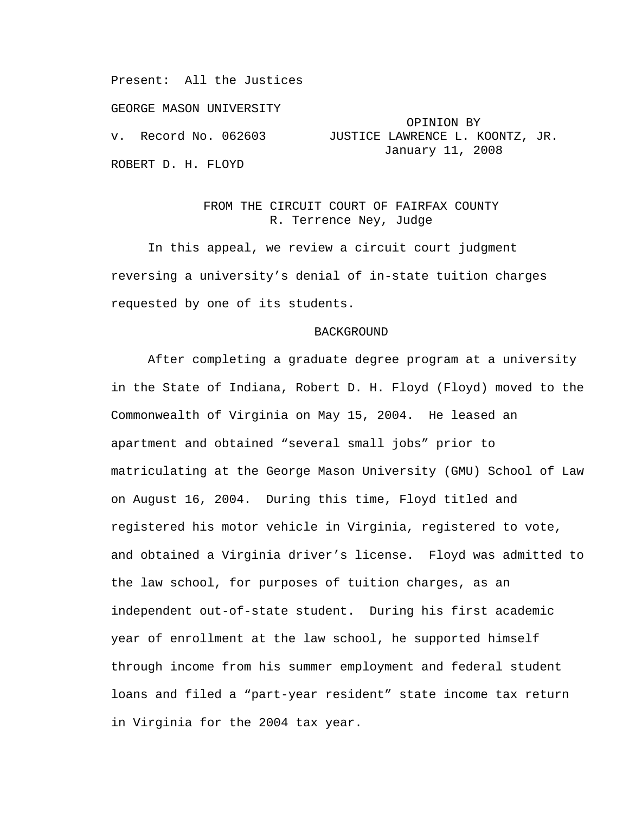Present: All the Justices

GEORGE MASON UNIVERSITY

ROBERT D. H. FLOYD

# OPINION BY v. Record No. 062603 JUSTICE LAWRENCE L. KOONTZ, JR. January 11, 2008

## FROM THE CIRCUIT COURT OF FAIRFAX COUNTY R. Terrence Ney, Judge

In this appeal, we review a circuit court judgment reversing a university's denial of in-state tuition charges requested by one of its students.

#### BACKGROUND

After completing a graduate degree program at a university in the State of Indiana, Robert D. H. Floyd (Floyd) moved to the Commonwealth of Virginia on May 15, 2004. He leased an apartment and obtained "several small jobs" prior to matriculating at the George Mason University (GMU) School of Law on August 16, 2004. During this time, Floyd titled and registered his motor vehicle in Virginia, registered to vote, and obtained a Virginia driver's license. Floyd was admitted to the law school, for purposes of tuition charges, as an independent out-of-state student. During his first academic year of enrollment at the law school, he supported himself through income from his summer employment and federal student loans and filed a "part-year resident" state income tax return in Virginia for the 2004 tax year.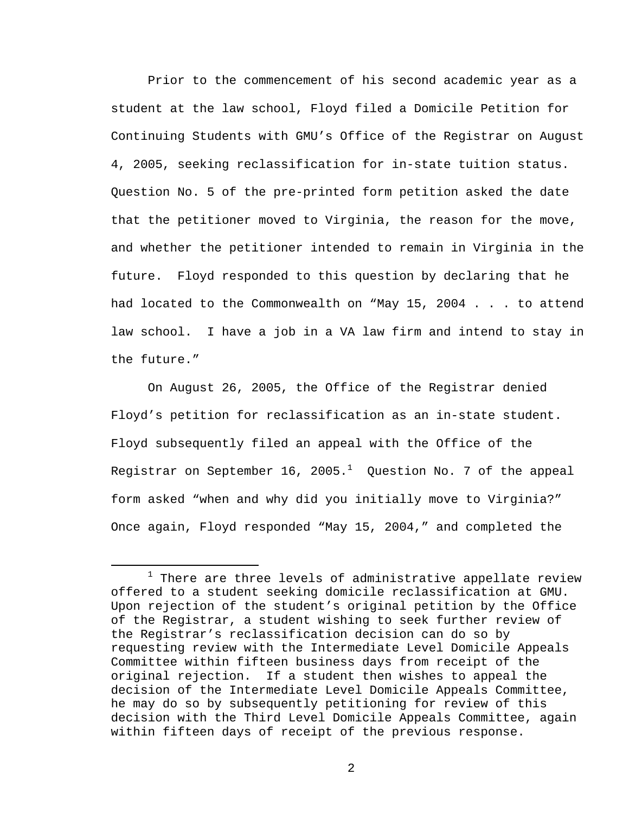Prior to the commencement of his second academic year as a student at the law school, Floyd filed a Domicile Petition for Continuing Students with GMU's Office of the Registrar on August 4, 2005, seeking reclassification for in-state tuition status. Question No. 5 of the pre-printed form petition asked the date that the petitioner moved to Virginia, the reason for the move, and whether the petitioner intended to remain in Virginia in the future. Floyd responded to this question by declaring that he had located to the Commonwealth on "May 15, 2004 . . . to attend law school. I have a job in a VA law firm and intend to stay in the future."

On August 26, 2005, the Office of the Registrar denied Floyd's petition for reclassification as an in-state student. Floyd subsequently filed an appeal with the Office of the Registrar on September 16, 2005. $^1$  Question No. 7 of the appeal form asked "when and why did you initially move to Virginia?" Once again, Floyd responded "May 15, 2004," and completed the

<sup>&</sup>lt;u>1</u>  $1$  There are three levels of administrative appellate review offered to a student seeking domicile reclassification at GMU. Upon rejection of the student's original petition by the Office of the Registrar, a student wishing to seek further review of the Registrar's reclassification decision can do so by requesting review with the Intermediate Level Domicile Appeals Committee within fifteen business days from receipt of the original rejection. If a student then wishes to appeal the decision of the Intermediate Level Domicile Appeals Committee, he may do so by subsequently petitioning for review of this decision with the Third Level Domicile Appeals Committee, again within fifteen days of receipt of the previous response.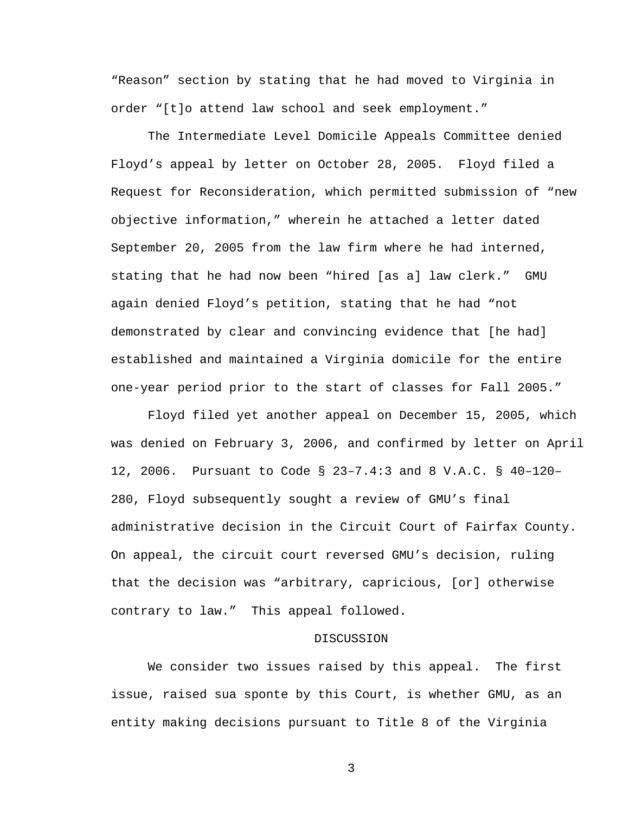"Reason" section by stating that he had moved to Virginia in order "[t]o attend law school and seek employment."

 The Intermediate Level Domicile Appeals Committee denied Floyd's appeal by letter on October 28, 2005. Floyd filed a Request for Reconsideration, which permitted submission of "new objective information," wherein he attached a letter dated September 20, 2005 from the law firm where he had interned, stating that he had now been "hired [as a] law clerk." GMU again denied Floyd's petition, stating that he had "not demonstrated by clear and convincing evidence that [he had] established and maintained a Virginia domicile for the entire one-year period prior to the start of classes for Fall 2005."

 Floyd filed yet another appeal on December 15, 2005, which was denied on February 3, 2006, and confirmed by letter on April 12, 2006. Pursuant to Code § 23–7.4:3 and 8 V.A.C. § 40–120– 280, Floyd subsequently sought a review of GMU's final administrative decision in the Circuit Court of Fairfax County. On appeal, the circuit court reversed GMU's decision, ruling that the decision was "arbitrary, capricious, [or] otherwise contrary to law." This appeal followed.

### DISCUSSION

We consider two issues raised by this appeal. The first issue, raised sua sponte by this Court, is whether GMU, as an entity making decisions pursuant to Title 8 of the Virginia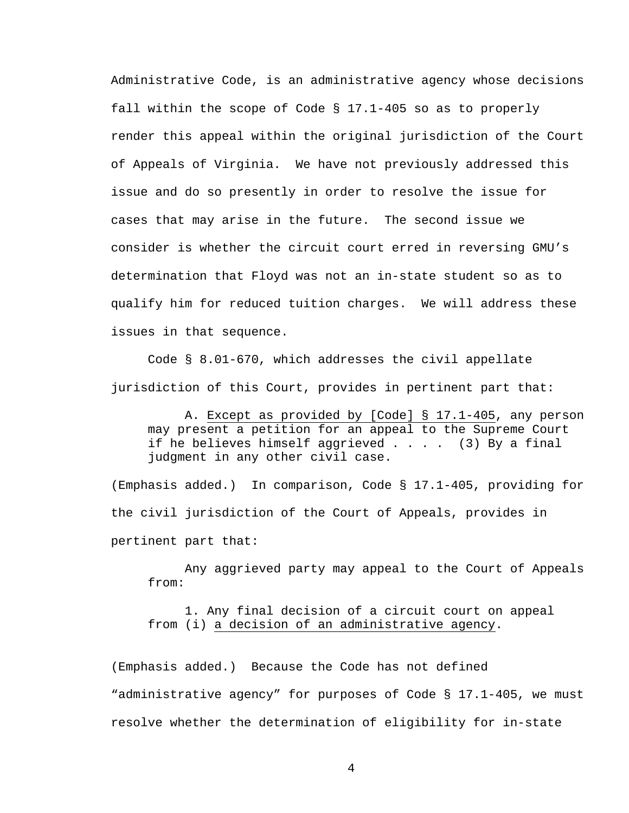Administrative Code, is an administrative agency whose decisions fall within the scope of Code § 17.1-405 so as to properly render this appeal within the original jurisdiction of the Court of Appeals of Virginia. We have not previously addressed this issue and do so presently in order to resolve the issue for cases that may arise in the future. The second issue we consider is whether the circuit court erred in reversing GMU's determination that Floyd was not an in-state student so as to qualify him for reduced tuition charges. We will address these issues in that sequence.

Code § 8.01-670, which addresses the civil appellate jurisdiction of this Court, provides in pertinent part that:

A. Except as provided by [Code] § 17.1-405, any person may present a petition for an appeal to the Supreme Court if he believes himself aggrieved . . . . (3) By a final judgment in any other civil case.

(Emphasis added.) In comparison, Code § 17.1-405, providing for the civil jurisdiction of the Court of Appeals, provides in pertinent part that:

Any aggrieved party may appeal to the Court of Appeals from:

1. Any final decision of a circuit court on appeal from (i) a decision of an administrative agency.

(Emphasis added.) Because the Code has not defined "administrative agency" for purposes of Code § 17.1-405, we must resolve whether the determination of eligibility for in-state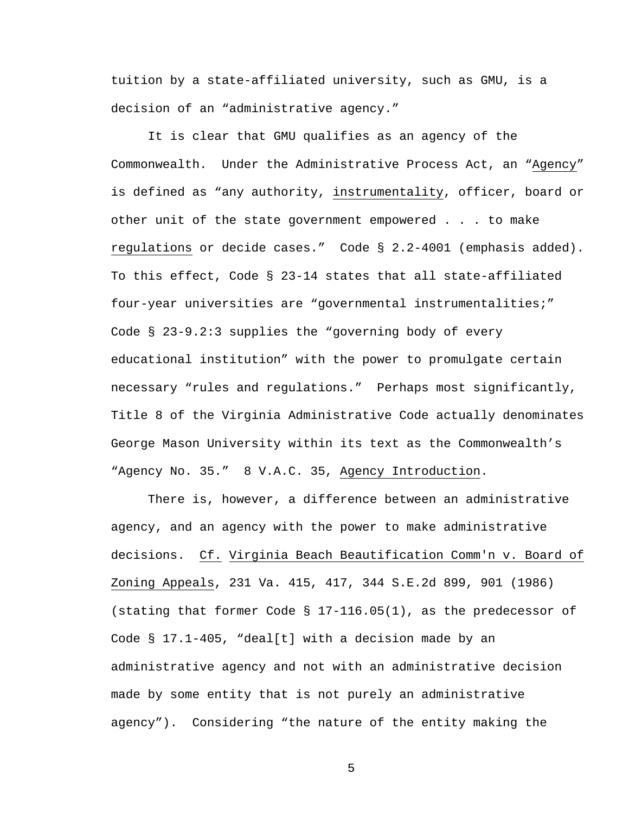tuition by a state-affiliated university, such as GMU, is a decision of an "administrative agency."

It is clear that GMU qualifies as an agency of the Commonwealth. Under the Administrative Process Act, an "Agency" is defined as "any authority, instrumentality, officer, board or other unit of the state government empowered . . . to make regulations or decide cases." Code § 2.2-4001 (emphasis added). To this effect, Code § 23-14 states that all state-affiliated four-year universities are "governmental instrumentalities;" Code § 23-9.2:3 supplies the "governing body of every educational institution" with the power to promulgate certain necessary "rules and regulations." Perhaps most significantly, Title 8 of the Virginia Administrative Code actually denominates George Mason University within its text as the Commonwealth's "Agency No. 35." 8 V.A.C. 35, Agency Introduction.

There is, however, a difference between an administrative agency, and an agency with the power to make administrative decisions. Cf. Virginia Beach Beautification Comm'n v. Board of Zoning Appeals, 231 Va. 415, 417, 344 S.E.2d 899, 901 (1986) (stating that former Code § 17-116.05(1), as the predecessor of Code § 17.1-405, "deal[t] with a decision made by an administrative agency and not with an administrative decision made by some entity that is not purely an administrative agency"). Considering "the nature of the entity making the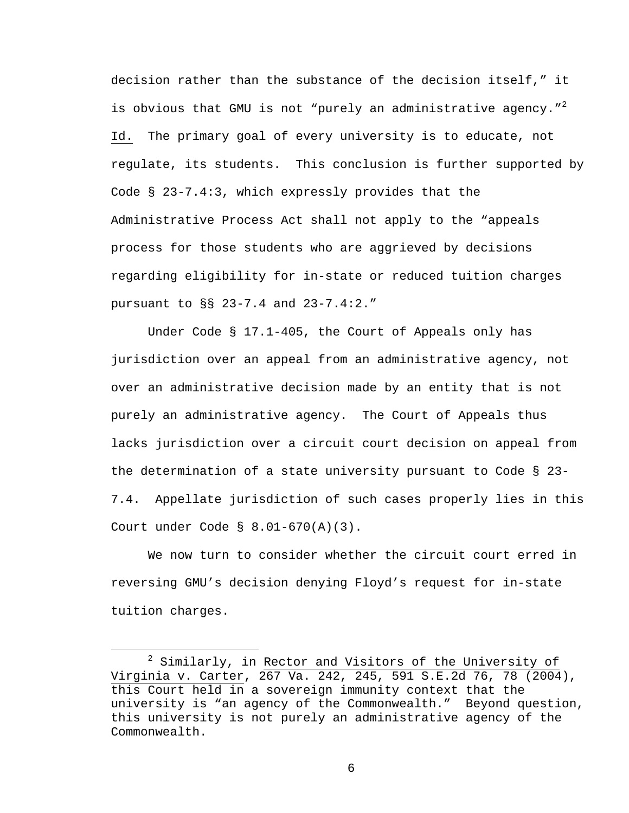decision rather than the substance of the decision itself," it is obvious that GMU is not "purely an administrative agency." $^2$ Id. The primary goal of every university is to educate, not regulate, its students. This conclusion is further supported by Code § 23-7.4:3, which expressly provides that the Administrative Process Act shall not apply to the "appeals process for those students who are aggrieved by decisions regarding eligibility for in-state or reduced tuition charges pursuant to §§ 23-7.4 and 23-7.4:2."

Under Code § 17.1-405, the Court of Appeals only has jurisdiction over an appeal from an administrative agency, not over an administrative decision made by an entity that is not purely an administrative agency. The Court of Appeals thus lacks jurisdiction over a circuit court decision on appeal from the determination of a state university pursuant to Code § 23- 7.4. Appellate jurisdiction of such cases properly lies in this Court under Code § 8.01-670(A)(3).

We now turn to consider whether the circuit court erred in reversing GMU's decision denying Floyd's request for in-state tuition charges.

 <sup>2</sup>  $2$  Similarly, in Rector and Visitors of the University of Virginia v. Carter, 267 Va. 242, 245, 591 S.E.2d 76, 78 (2004), this Court held in a sovereign immunity context that the university is "an agency of the Commonwealth." Beyond question, this university is not purely an administrative agency of the Commonwealth.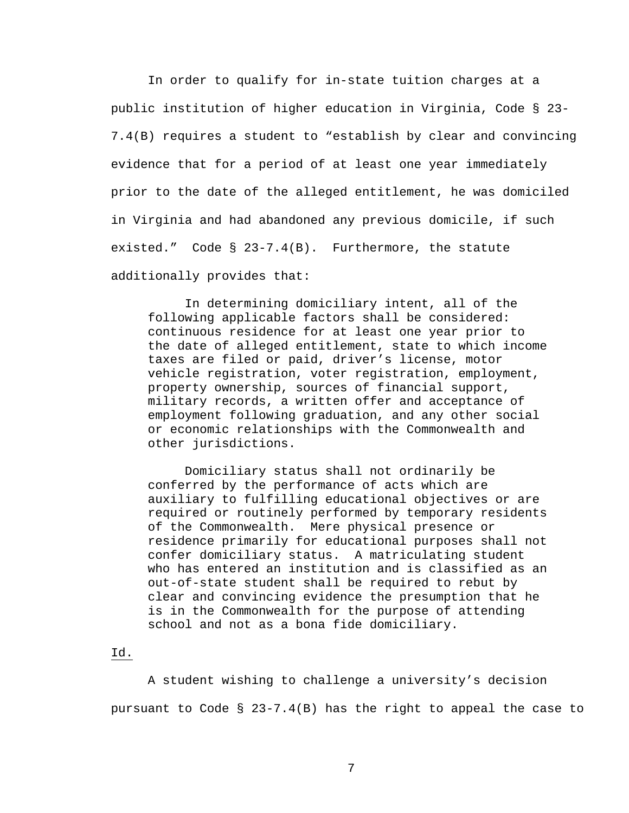In order to qualify for in-state tuition charges at a public institution of higher education in Virginia, Code § 23- 7.4(B) requires a student to "establish by clear and convincing evidence that for a period of at least one year immediately prior to the date of the alleged entitlement, he was domiciled in Virginia and had abandoned any previous domicile, if such existed." Code § 23-7.4(B). Furthermore, the statute additionally provides that:

In determining domiciliary intent, all of the following applicable factors shall be considered: continuous residence for at least one year prior to the date of alleged entitlement, state to which income taxes are filed or paid, driver's license, motor vehicle registration, voter registration, employment, property ownership, sources of financial support, military records, a written offer and acceptance of employment following graduation, and any other social or economic relationships with the Commonwealth and other jurisdictions.

 Domiciliary status shall not ordinarily be conferred by the performance of acts which are auxiliary to fulfilling educational objectives or are required or routinely performed by temporary residents of the Commonwealth. Mere physical presence or residence primarily for educational purposes shall not confer domiciliary status. A matriculating student who has entered an institution and is classified as an out-of-state student shall be required to rebut by clear and convincing evidence the presumption that he is in the Commonwealth for the purpose of attending school and not as a bona fide domiciliary.

Id.

A student wishing to challenge a university's decision pursuant to Code § 23-7.4(B) has the right to appeal the case to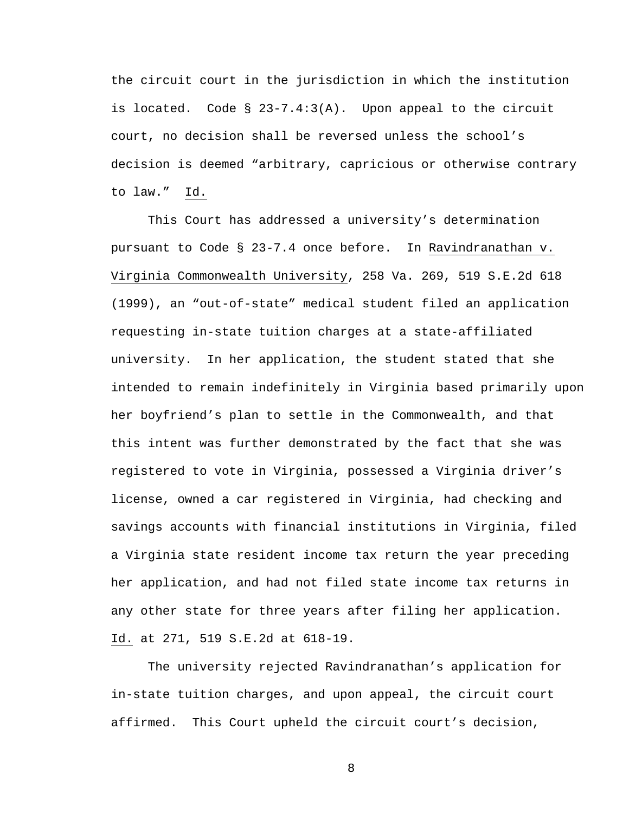the circuit court in the jurisdiction in which the institution is located. Code § 23-7.4:3(A). Upon appeal to the circuit court, no decision shall be reversed unless the school's decision is deemed "arbitrary, capricious or otherwise contrary to law." Id.

This Court has addressed a university's determination pursuant to Code § 23-7.4 once before. In Ravindranathan v. Virginia Commonwealth University, 258 Va. 269, 519 S.E.2d 618 (1999), an "out-of-state" medical student filed an application requesting in-state tuition charges at a state-affiliated university. In her application, the student stated that she intended to remain indefinitely in Virginia based primarily upon her boyfriend's plan to settle in the Commonwealth, and that this intent was further demonstrated by the fact that she was registered to vote in Virginia, possessed a Virginia driver's license, owned a car registered in Virginia, had checking and savings accounts with financial institutions in Virginia, filed a Virginia state resident income tax return the year preceding her application, and had not filed state income tax returns in any other state for three years after filing her application. Id. at 271, 519 S.E.2d at 618-19.

 The university rejected Ravindranathan's application for in-state tuition charges, and upon appeal, the circuit court affirmed. This Court upheld the circuit court's decision,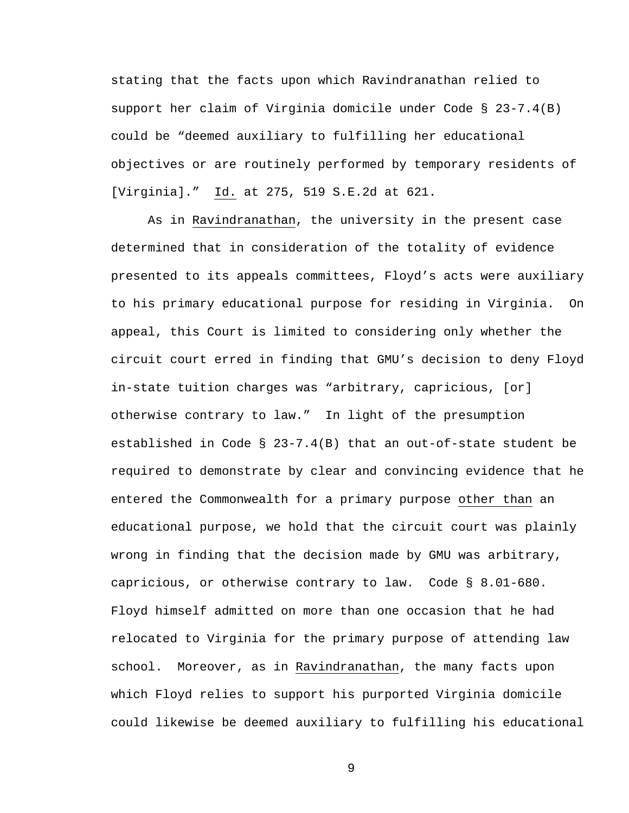stating that the facts upon which Ravindranathan relied to support her claim of Virginia domicile under Code § 23-7.4(B) could be "deemed auxiliary to fulfilling her educational objectives or are routinely performed by temporary residents of [Virginia]." Id. at 275, 519 S.E.2d at 621.

As in Ravindranathan, the university in the present case determined that in consideration of the totality of evidence presented to its appeals committees, Floyd's acts were auxiliary to his primary educational purpose for residing in Virginia. On appeal, this Court is limited to considering only whether the circuit court erred in finding that GMU's decision to deny Floyd in-state tuition charges was "arbitrary, capricious, [or] otherwise contrary to law." In light of the presumption established in Code § 23-7.4(B) that an out-of-state student be required to demonstrate by clear and convincing evidence that he entered the Commonwealth for a primary purpose other than an educational purpose, we hold that the circuit court was plainly wrong in finding that the decision made by GMU was arbitrary, capricious, or otherwise contrary to law. Code § 8.01-680. Floyd himself admitted on more than one occasion that he had relocated to Virginia for the primary purpose of attending law school. Moreover, as in Ravindranathan, the many facts upon which Floyd relies to support his purported Virginia domicile could likewise be deemed auxiliary to fulfilling his educational